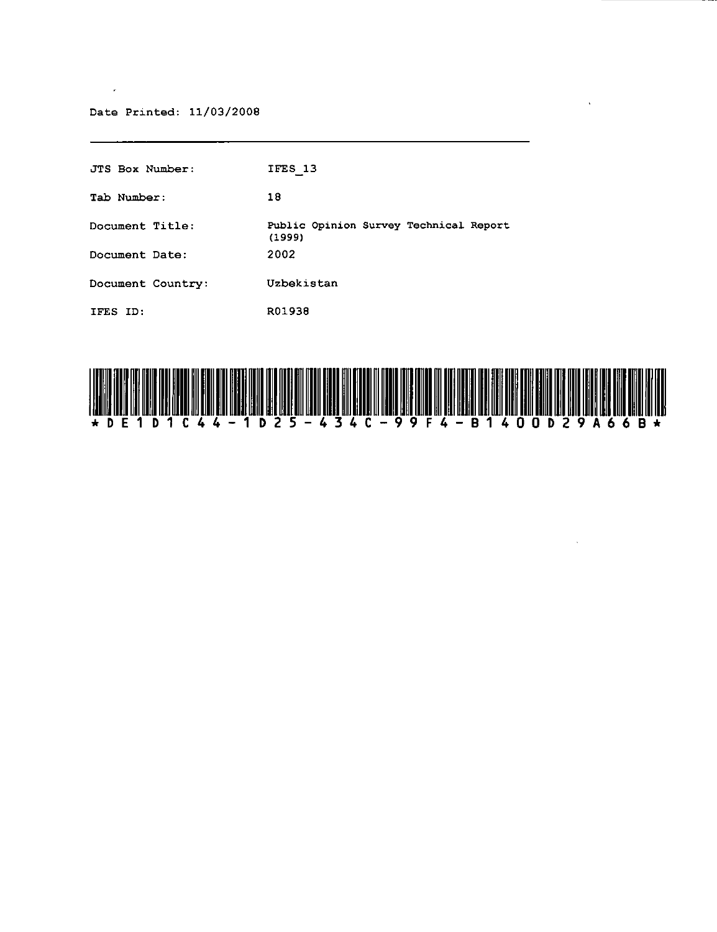#### Date Printed: 11/03/2008

 $\sim$ 

| JTS Box Number:   | IFES 13                                          |
|-------------------|--------------------------------------------------|
| Tab Number:       | 18                                               |
| Document Title:   | Public Opinion Survey Technical Report<br>(1999) |
| Document Date:    | 2002                                             |
| Document Country: | Uzbekistan                                       |
| IFES ID:          | R01938                                           |



 $\ddot{\phantom{a}}$ 

 $\sim$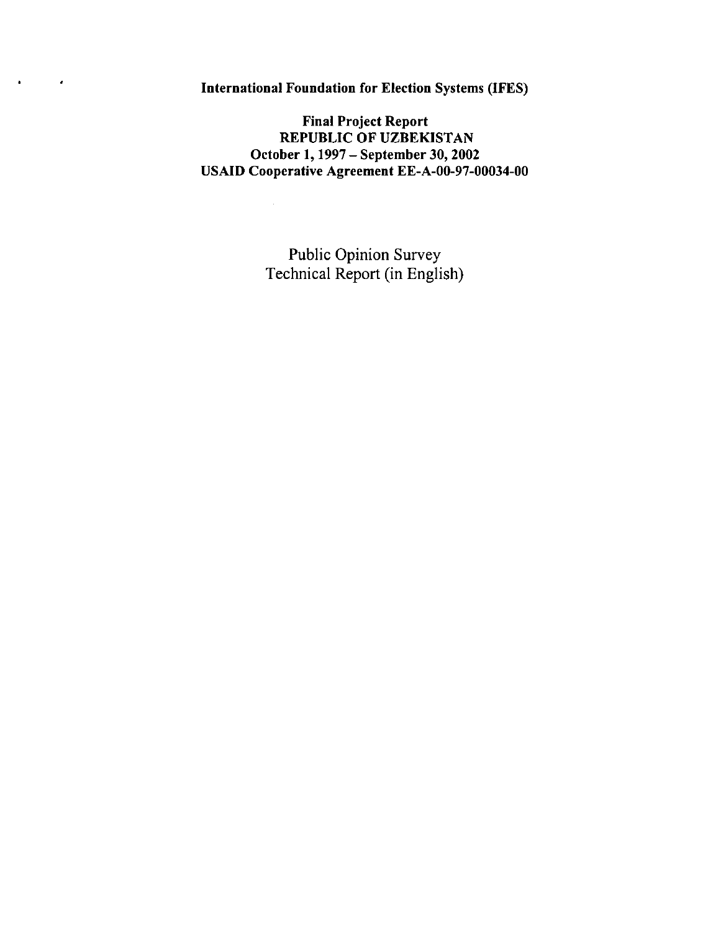International Foundation for Election Systems (IFES)

 $\mathcal{L}_{\mathcal{A}}$ 

 $\mathbf{a} = \mathbf{a}$ 

Final Project Report REPUBLIC OF UZBEKISTAN October 1, 1997 - September 30, 2002 USAID Cooperative Agreement EE-A-00-97-00034-00

 $\sim$ 

Public Opinion Survey Technical Report (in English)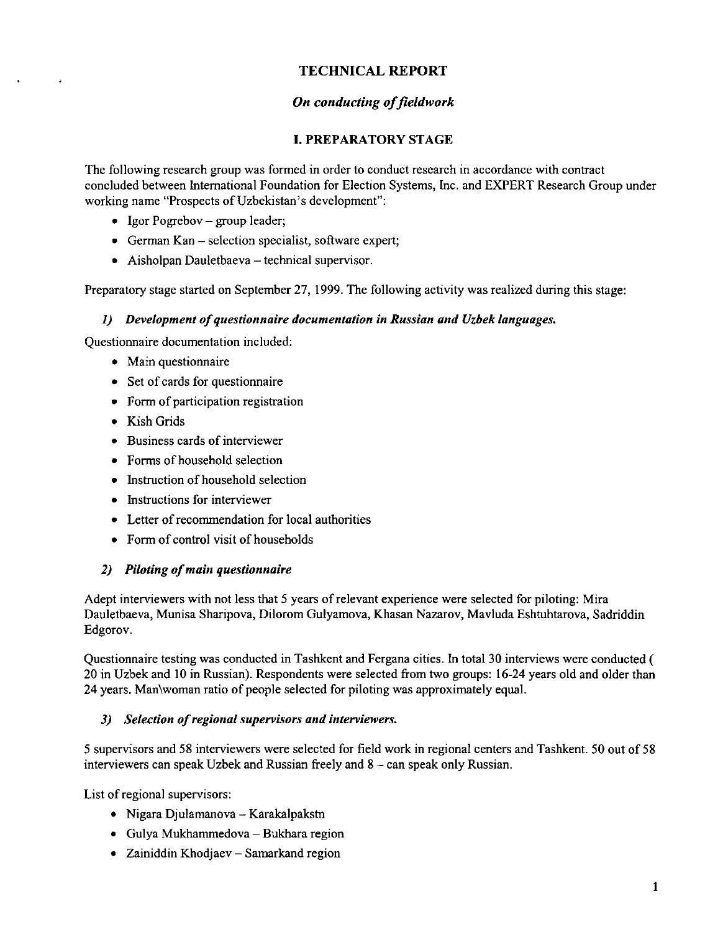# **TECHNICAL REPORT**

# **On conducting of fieldwork**

## **I. PREPARATORY** STAGE

The following research group was formed in order to conduct research in accordance with contract concluded between International Foundation for Election Systems, Inc. and EXPERT Research Group under working name "Prospects of Uzbekistan's development":

- Igor Pogrebov  $-$  group leader;
- German Kan selection specialist, software expert;
- Aisholpan Dauletbaeva technical supervisor.

Preparatory stage started on September 27,1999. The following activity was realized during this stage:

### *1) Development of questionnaire documentation in Russian and Uzbek languages.*

Questionnaire documentation included:

- Main questionnaire
- Set of cards for questionnaire
- Form of participation registration
- Kish Grids
- Business cards of interviewer
- Forms of household selection
- Instruction of household selection
- Instructions for interviewer
- Letter of recommendation for local authorities
- Form of control visit of households

### *2) Piloting of main questionnaire*

Adept interviewers with not less that 5 years of relevant experience were selected for piloting: Mira Dauletbaeva, Munisa Sharipova, Dilorom Gulyamova, Khasan Nazarov, Mavluda Eshtuhtarova, Sadriddin Edgorov.

Questionnaire testing was conducted in Tashkent and Fergana cities. In total 30 interviews were conducted ( 20 in Uzbek and 10 in Russian). Respondents were selected from two groups: 16-24 years old and older than 24 years. Man\woman ratio of people selected for piloting was approximately equal.

### *3) Selection of regional supervisors and interviewers.*

5 supervisors and 58 interviewers were selected for field work in regional centers and Tashkent. 50 out of 58 interviewers can speak Uzbek and Russian freely and 8 - can speak only Russian.

List of regional supervisors:

- $\bullet$  Nigara Djulamanova Karakalpakstn
- Gulya Mukhammedova Bukhara region
- Zainiddin Khodjaev Samarkand region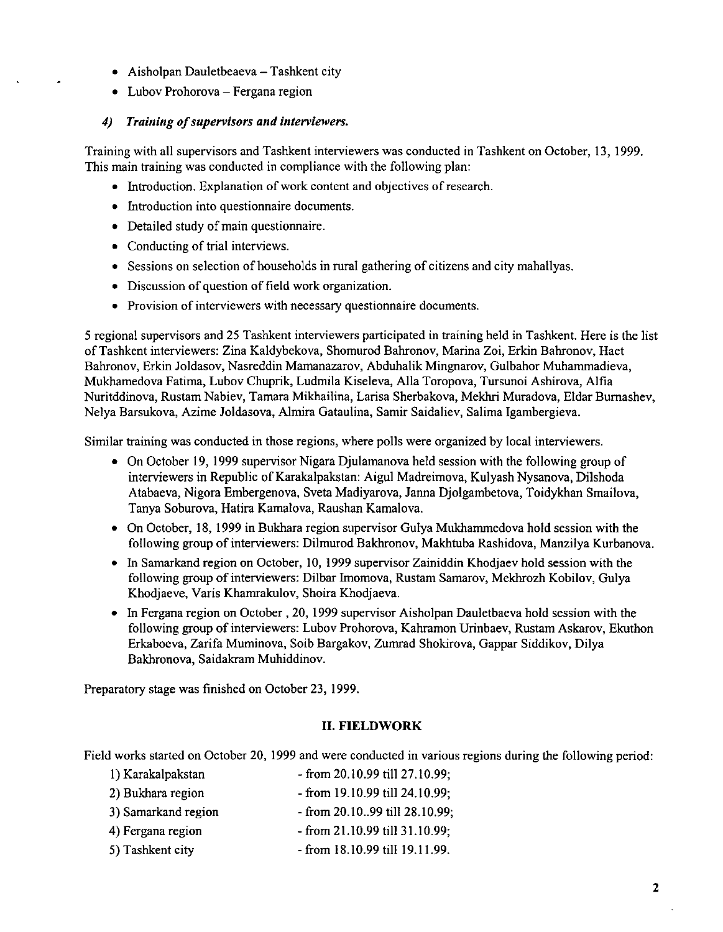- Aisholpan Dauletbeaeva Tashkent city
- Lubov Prohorova Fergana region

### *4) Training of supervisors and interviewers.*

Training with all supervisors and Tashkent interviewers was conducted in Tashkent on October, 13, 1999. This main training was conducted in compliance with the following plan:

- Introduction. Explanation of work content and objectives of research.
- Introduction into questionnaire documents.
- Detailed study of main questionnaire.
- Conducting of trial interviews.
- Sessions on selection of households in rural gathering of citizens and city mahallyas.
- Discussion of question of field work organization.
- Provision of interviewers with necessary questionnaire documents.

5 regional supervisors and 25 Tashkent interviewers participated in training held in Tashkent. Here is the list of Tashkent interviewers: Zina Kaldybekova, Shomurod Bahronov, Marina Zoi, Erkin Bahronov, Haet Bahronov, Erkin Joldasov, Nasreddin Mamanazarov, Abduhalik Mingnarov, Gulbahor Muhammadieva, Mukhamedova Fatima, Lubov Chuprik, Ludmila Kiseleva, Alla Toropova, Tursunoi Ashirova, Alfia Nuritddinova, Rustam Nabiev, Tamara Mikhailina, Larisa Sherbakova, Mekhri Muradova, Eldar Bumashev, Nelya Barsukova, Azime Joldasova, Almira Gataulina, Samir Saidaliev, Salima Igambergieva.

Similar training was conducted in those regions, where polls were organized by local interviewers.

- On October 19, 1999 supervisor Nigara Djulamanova held session with the following group of interviewers in Republic of Karakalpakstan: Aigul Madreimova, Kulyash Nysanova, Dilshoda Atabaeva, Nigora Embergenova, Sveta Madiyarova, Janna Djolgambetova, Toidykhan Smailova, Tanya Soburova, Hatira Kamalova, Raushan Kamalova.
- On October, 18, 1999 in Bukhara region supervisor Gulya Mukhammedova hold session with the following group of interviewers: Dilmurod Bakhronov, Makhtuba Rashidova, Manzilya Kurbanova.
- In Samarkand region on October, 10, 1999 supervisor Zainiddin Khodjaev hold session with the following group of interviewers: Dilbar Imomova, Rustam Samarov, Mekhrozh Kobilov, Gulya Khodjaeve, Varis Khamrakulov, Shoira Khodjaeva.
- In Fergana region on October, 20, 1999 supervisor Aisholpan Dauletbaeva hold session with the following group of interviewers: Lubov Prohorova, Kahramon Urinbaev, Rustam Askarov, Ekuthon Erkaboeva, Zarifa Muminova, Soib Bargakov, Zurnrad Shokirova, Gappar Siddikov, Dilya Bakhronova, Saidakram Muhiddinov.

Preparatory stage was finished on October 23, 1999.

## II. **FIELDWORK**

Field works started on October 20, 1999 and were conducted in various regions during the following period:

1) Karakalpakstan - from 20.10.99 till 27.10.99; 2) Bukhara region - from 19.10.99 till 24.10.99; 3) Samarkand region - from 20.10 .. 99 till 28.10.99; 4) Fergana region - from 21.10.99 till 31.10.99; 5) Tashkent city - from 18.10.99 till 19.11.99.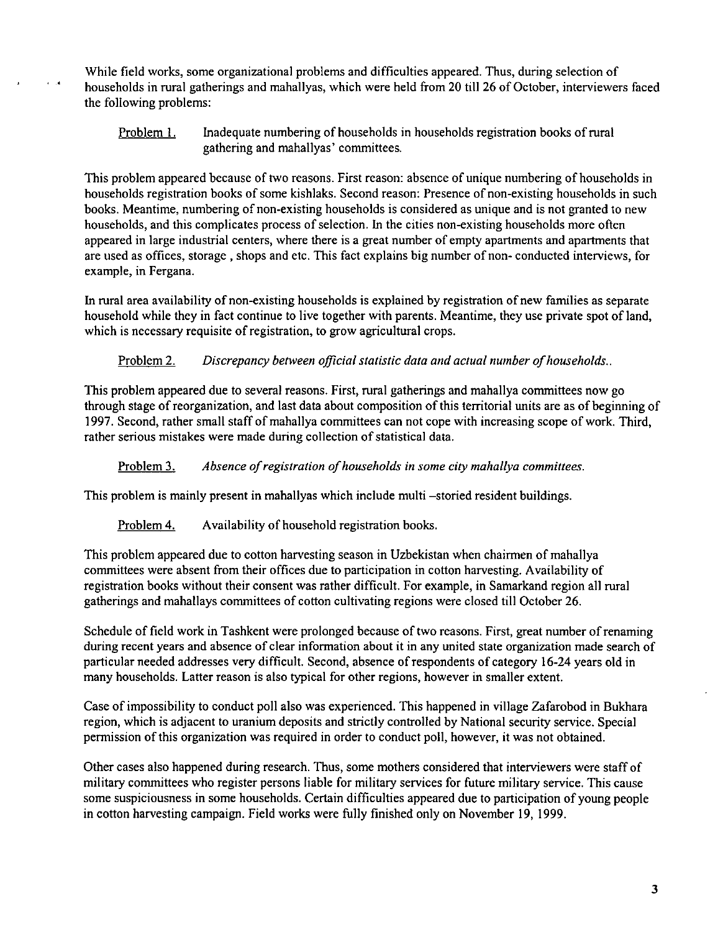While field works, some organizational problems and difficulties appeared. Thus, during selection of households in rural gatherings and mahallyas, which were held from 20 till 26 of October, interviewers faced the following problems:

Problem I. Inadequate numbering of households in households registration books of rural gathering and mahallyas' committees.

This problem appeared because of two reasons. First reason: absence of unique numbering of households in households registration books of some kishlaks. Second reason: Presence of non-existing households in such books. Meantime, numbering of non-existing households is considered as unique and is not granted to new households, and this complicates process of selection. In the cities non-existing households more often appeared in large industrial centers, where there is a great number of empty apartments and apartments that are used as offices, storage, shops and etc. This fact explains big number of non- conducted interviews, for example, in Fergana.

In rural area availability of non-existing households is explained by registration of new families as separate household while they in fact continue to live together with parents. Meantime, they use private spot of land, which is necessary requisite of registration, to grow agricultural crops.

Problem 2. *Discrepancy between official statistic data and actual number of households ..* 

This problem appeared due to several reasons. First, rural gatherings and mahallya committees now go through stage of reorganization, and last data about composition ofthis territorial units are as of beginning of 1997. Second, rather small staff of mahallya committees can not cope with increasing scope of work. Third, rather serious mistakes were made during collection of statistical data.

Problem 3. *Absence of registration of households in some city mahallya committees.* 

This problem is mainly present in mahallyas which include multi -storied resident buildings.

Problem 4. Availability of household registration books.

 $\epsilon$  .

This problem appeared due to cotton harvesting season in Uzbekistan when chairmen of mahallya committees were absent from their offices due to participation in cotton harvesting. Availability of registration books without their consent was rather difficult. For example, in Samarkand region all rural gatherings and mahallays committees of cotton cultivating regions were closed till October 26.

Schedule of field work in Tashkent were prolonged because of two reasons. First, great number of renaming during recent years and absence of clear information about it in any united state organization made search of particular needed addresses very difficult. Second, absence of respondents of category 16-24 years old in many households. Latter reason is also typical for other regions, however in smaller extent.

Case of impossibility to conduct poll also was experienced. This happened in village Zafarobod in Bukhara region, which is adjacent to uranium deposits and strictly controlled by National security service. Special permission of this organization was required in order to conduct poll, however, it was not obtained.

Other cases also happened during research. Thus, some mothers considered that interviewers were staff of military committees who register persons liable for military services for future military service. This cause some suspiciousness in some households. Certain difficulties appeared due to participation of young people in cotton harvesting campaign. Field works were fully finished only on November 19, 1999.